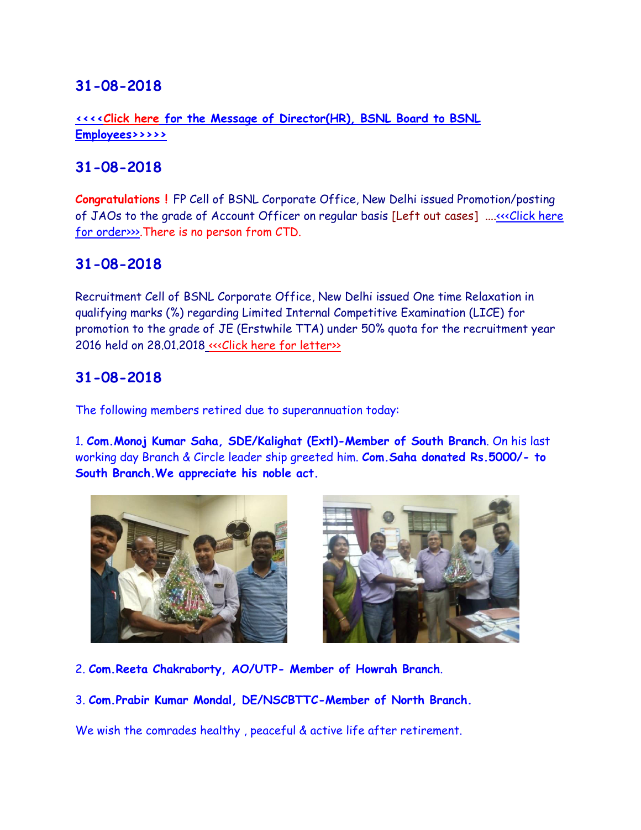**[<<<<Click here for the Message of Director\(HR\), BSNL Board to BSNL](http://www.aibsnleachq.in/message3008180001.pdf)  [Employees>>>>>](http://www.aibsnleachq.in/message3008180001.pdf)**

# **31-08-2018**

**Congratulations !** FP Cell of BSNL Corporate Office, New Delhi issued Promotion/posting of JAOs to the grade of Account Officer on regular basis [Left out cases] ....<<< Click here [for order>>>.](http://www.aibsnleachq.in/promotion%2031.08.2018.pdf)There is no person from CTD.

# **31-08-2018**

Recruitment Cell of BSNL Corporate Office, New Delhi issued One time Relaxation in qualifying marks (%) regarding Limited Internal Competitive Examination (LICE) for promotion to the grade of JE (Erstwhile TTA) under 50% quota for the recruitment year 2016 held on 28.01.2018 «<< Click here for letter »

## **31-08-2018**

The following members retired due to superannuation today:

1. **Com.Monoj Kumar Saha, SDE/Kalighat (Extl)-Member of South Branch**. On his last working day Branch & Circle leader ship greeted him. **Com.Saha donated Rs.5000/- to South Branch.We appreciate his noble act.**





2. **Com.Reeta Chakraborty, AO/UTP- Member of Howrah Branch**.

3. **Com.Prabir Kumar Mondal, DE/NSCBTTC-Member of North Branch.**

We wish the comrades healthy , peaceful & active life after retirement.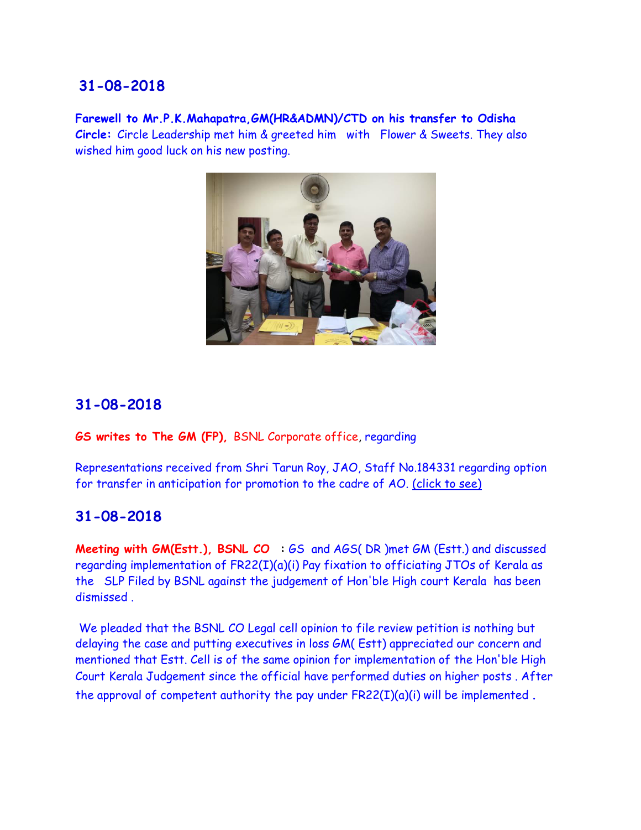**Farewell to Mr.P.K.Mahapatra,GM(HR&ADMN)/CTD on his transfer to Odisha Circle:** Circle Leadership met him & greeted him with Flower & Sweets. They also wished him good luck on his new posting.



## **31-08-2018**

#### **GS writes to The GM (FP),** BSNL Corporate office, regarding

Representations received from Shri Tarun Roy, JAO, Staff No.184331 regarding option for transfer in anticipation for promotion to the cadre of AO. [\(click to see\)](http://aibsnleawb.org/trunAO.pdf)

## **31-08-2018**

**Meeting with GM(Estt.), BSNL CO :** GS and AGS( DR )met GM (Estt.) and discussed regarding implementation of FR22(I)(a)(i) Pay fixation to officiating JTOs of Kerala as the SLP Filed by BSNL against the judgement of Hon'ble High court Kerala has been dismissed .

 We pleaded that the BSNL CO Legal cell opinion to file review petition is nothing but delaying the case and putting executives in loss GM( Estt) appreciated our concern and mentioned that Estt. Cell is of the same opinion for implementation of the Hon'ble High Court Kerala Judgement since the official have performed duties on higher posts . After the approval of competent authority the pay under  $FR22(I)(a)(i)$  will be implemented.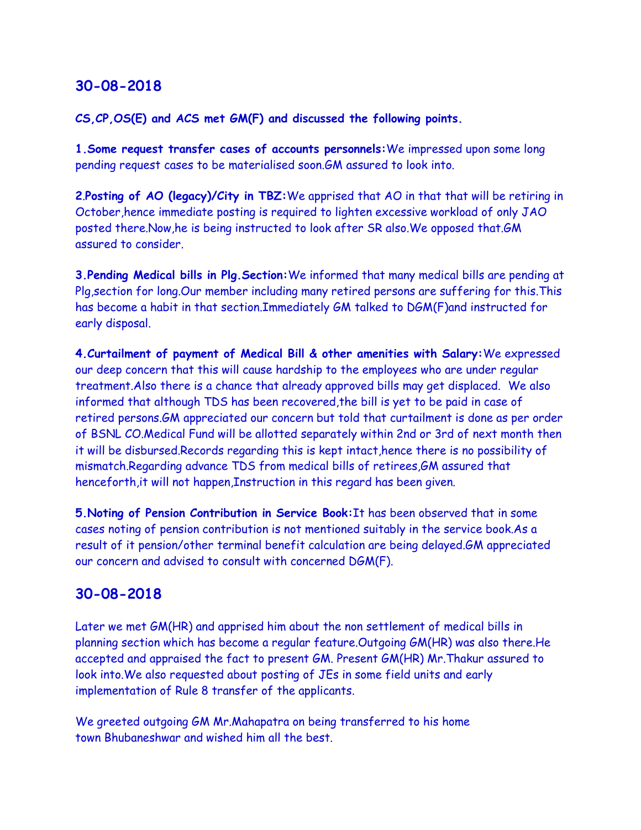#### **CS,CP,OS(E) and ACS met GM(F) and discussed the following points.**

**1.Some request transfer cases of accounts personnels:**We impressed upon some long pending request cases to be materialised soon.GM assured to look into.

**2**.**Posting of AO (legacy)/City in TBZ:**We apprised that AO in that that will be retiring in October,hence immediate posting is required to lighten excessive workload of only JAO posted there.Now,he is being instructed to look after SR also.We opposed that.GM assured to consider.

**3.Pending Medical bills in Plg.Section:**We informed that many medical bills are pending at Plg,section for long.Our member including many retired persons are suffering for this.This has become a habit in that section.Immediately GM talked to DGM(F)and instructed for early disposal.

**4.Curtailment of payment of Medical Bill & other amenities with Salary:**We expressed our deep concern that this will cause hardship to the employees who are under regular treatment.Also there is a chance that already approved bills may get displaced. We also informed that although TDS has been recovered,the bill is yet to be paid in case of retired persons.GM appreciated our concern but told that curtailment is done as per order of BSNL CO.Medical Fund will be allotted separately within 2nd or 3rd of next month then it will be disbursed.Records regarding this is kept intact,hence there is no possibility of mismatch.Regarding advance TDS from medical bills of retirees,GM assured that henceforth,it will not happen,Instruction in this regard has been given.

**5.Noting of Pension Contribution in Service Book:**It has been observed that in some cases noting of pension contribution is not mentioned suitably in the service book.As a result of it pension/other terminal benefit calculation are being delayed.GM appreciated our concern and advised to consult with concerned DGM(F).

## **30-08-2018**

Later we met GM(HR) and apprised him about the non settlement of medical bills in planning section which has become a regular feature.Outgoing GM(HR) was also there.He accepted and appraised the fact to present GM. Present GM(HR) Mr.Thakur assured to look into.We also requested about posting of JEs in some field units and early implementation of Rule 8 transfer of the applicants.

We greeted outgoing GM Mr.Mahapatra on being transferred to his home town Bhubaneshwar and wished him all the best.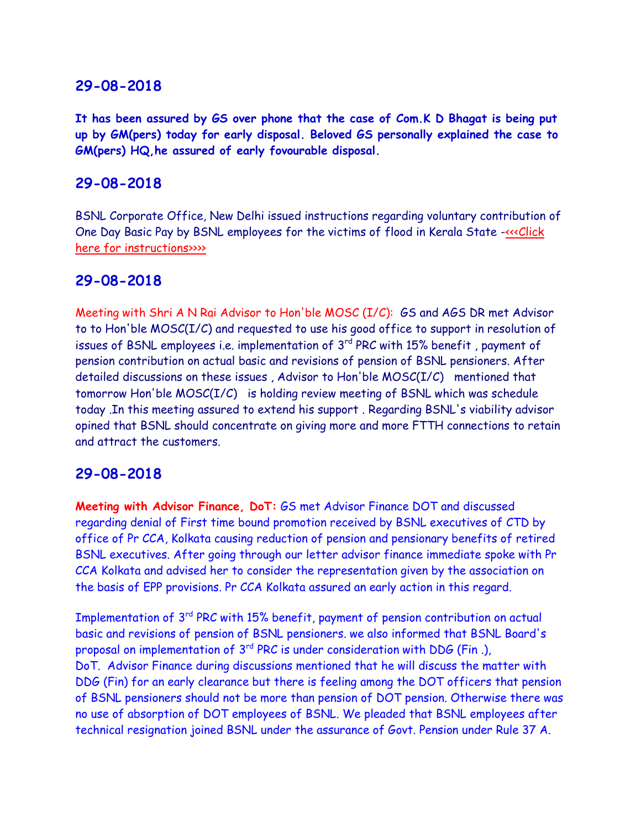**It has been assured by GS over phone that the case of Com.K D Bhagat is being put up by GM(pers) today for early disposal. Beloved GS personally explained the case to GM(pers) HQ,he assured of early fovourable disposal.**

### **29-08-2018**

BSNL Corporate Office, New Delhi issued instructions regarding voluntary contribution of One Day Basic Pay by BSNL employees for the victims of flood in Kerala State [-<<<Click](http://www.aibsnleachq.in/vckrlfloods29082018.pdf)  [here for instructions>>>>](http://www.aibsnleachq.in/vckrlfloods29082018.pdf)

### **29-08-2018**

Meeting with Shri A N Rai Advisor to Hon'ble MOSC (I/C): GS and AGS DR met Advisor to to Hon'ble MOSC(I/C) and requested to use his good office to support in resolution of issues of BSNL employees i.e. implementation of  $3<sup>rd</sup>$  PRC with 15% benefit, payment of pension contribution on actual basic and revisions of pension of BSNL pensioners. After detailed discussions on these issues , Advisor to Hon'ble MOSC(I/C) mentioned that tomorrow Hon'ble MOSC(I/C) is holding review meeting of BSNL which was schedule today .In this meeting assured to extend his support . Regarding BSNL's viability advisor opined that BSNL should concentrate on giving more and more FTTH connections to retain and attract the customers.

#### **29-08-2018**

**Meeting with Advisor Finance, DoT:** GS met Advisor Finance DOT and discussed regarding denial of First time bound promotion received by BSNL executives of CTD by office of Pr CCA, Kolkata causing reduction of pension and pensionary benefits of retired BSNL executives. After going through our letter advisor finance immediate spoke with Pr CCA Kolkata and advised her to consider the representation given by the association on the basis of EPP provisions. Pr CCA Kolkata assured an early action in this regard.

Implementation of 3rd PRC with 15% benefit, payment of pension contribution on actual basic and revisions of pension of BSNL pensioners. we also informed that BSNL Board's proposal on implementation of 3<sup>rd</sup> PRC is under consideration with DDG (Fin.), DoT. Advisor Finance during discussions mentioned that he will discuss the matter with DDG (Fin) for an early clearance but there is feeling among the DOT officers that pension of BSNL pensioners should not be more than pension of DOT pension. Otherwise there was no use of absorption of DOT employees of BSNL. We pleaded that BSNL employees after technical resignation joined BSNL under the assurance of Govt. Pension under Rule 37 A.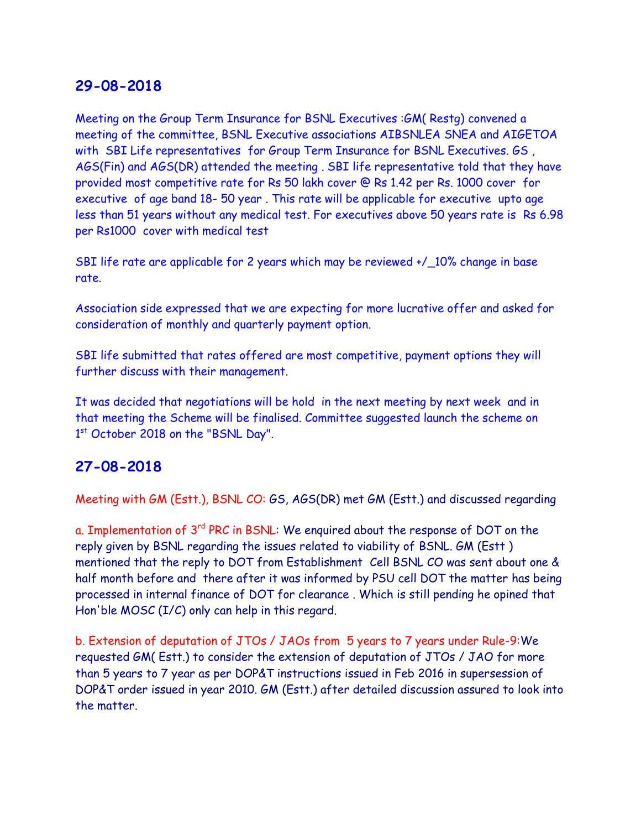Meeting on the Group Term Insurance for BSNL Executives :GM( Restg) convened a meeting of the committee, BSNL Executive associations AIBSNLEA SNEA and AIGETOA with SBI Life representatives for Group Term Insurance for BSNL Executives. GS, AGS(Fin) and AGS(DR) attended the meeting . SBI life representative told that they have provided most competitive rate for Rs 50 lakh cover @ Rs 1.42 per Rs. 1000 cover for executive of age band 18- 50 year . This rate will be applicable for executive upto age less than 51 years without any medical test. For executives above 50 years rate is Rs 6.98 per Rs1000 cover with medical test

SBI life rate are applicable for 2 years which may be reviewed +/\_10% change in base rate.

Association side expressed that we are expecting for more lucrative offer and asked for consideration of monthly and quarterly payment option.

SBI life submitted that rates offered are most competitive, payment options they will further discuss with their management.

It was decided that negotiations will be hold in the next meeting by next week and in that meeting the Scheme will be finalised. Committee suggested launch the scheme on 1st October 2018 on the "BSNL Day".

## **27-08-2018**

Meeting with GM (Estt.), BSNL CO: GS, AGS(DR) met GM (Estt.) and discussed regarding

a. Implementation of 3<sup>rd</sup> PRC in BSNL: We enquired about the response of DOT on the reply given by BSNL regarding the issues related to viability of BSNL. GM (Estt ) mentioned that the reply to DOT from Establishment Cell BSNL CO was sent about one & half month before and there after it was informed by PSU cell DOT the matter has being processed in internal finance of DOT for clearance . Which is still pending he opined that Hon'ble MOSC (I/C) only can help in this regard.

b. Extension of deputation of JTOs / JAOs from 5 years to 7 years under Rule-9:We requested GM( Estt.) to consider the extension of deputation of JTOs / JAO for more than 5 years to 7 year as per DOP&T instructions issued in Feb 2016 in supersession of DOP&T order issued in year 2010. GM (Estt.) after detailed discussion assured to look into the matter.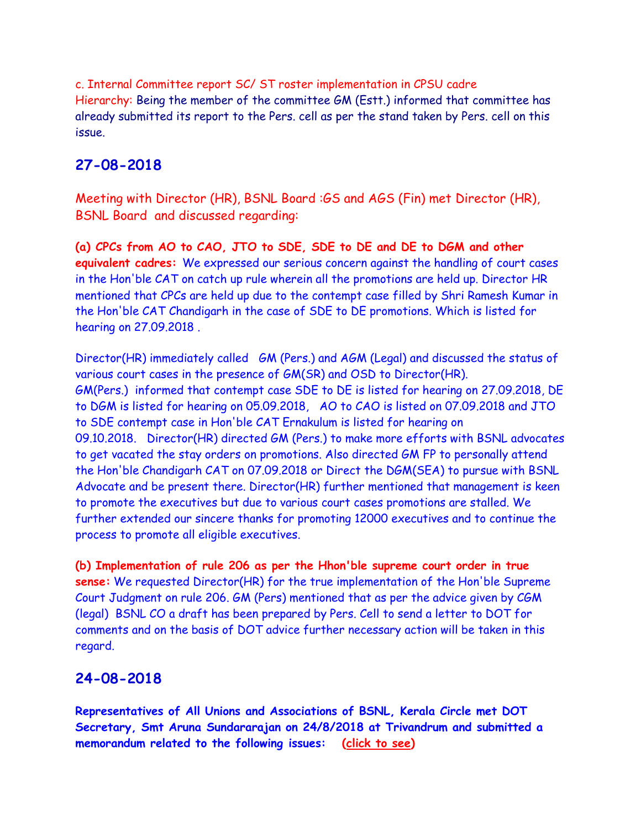c. Internal Committee report SC/ ST roster implementation in CPSU cadre Hierarchy: Being the member of the committee GM (Estt.) informed that committee has already submitted its report to the Pers. cell as per the stand taken by Pers. cell on this issue.

# **27-08-2018**

Meeting with Director (HR), BSNL Board :GS and AGS (Fin) met Director (HR), BSNL Board and discussed regarding:

**(a) CPCs from AO to CAO, JTO to SDE, SDE to DE and DE to DGM and other equivalent cadres:** We expressed our serious concern against the handling of court cases in the Hon'ble CAT on catch up rule wherein all the promotions are held up. Director HR mentioned that CPCs are held up due to the contempt case filled by Shri Ramesh Kumar in the Hon'ble CAT Chandigarh in the case of SDE to DE promotions. Which is listed for hearing on 27.09.2018 .

Director(HR) immediately called GM (Pers.) and AGM (Legal) and discussed the status of various court cases in the presence of GM(SR) and OSD to Director(HR). GM(Pers.) informed that contempt case SDE to DE is listed for hearing on 27.09.2018, DE to DGM is listed for hearing on 05.09.2018, AO to CAO is listed on 07.09.2018 and JTO to SDE contempt case in Hon'ble CAT Ernakulum is listed for hearing on 09.10.2018. Director(HR) directed GM (Pers.) to make more efforts with BSNL advocates to get vacated the stay orders on promotions. Also directed GM FP to personally attend the Hon'ble Chandigarh CAT on 07.09.2018 or Direct the DGM(SEA) to pursue with BSNL Advocate and be present there. Director(HR) further mentioned that management is keen to promote the executives but due to various court cases promotions are stalled. We further extended our sincere thanks for promoting 12000 executives and to continue the process to promote all eligible executives.

**(b) Implementation of rule 206 as per the Hhon'ble supreme court order in true sense:** We requested Director(HR) for the true implementation of the Hon'ble Supreme Court Judgment on rule 206. GM (Pers) mentioned that as per the advice given by CGM (legal) BSNL CO a draft has been prepared by Pers. Cell to send a letter to DOT for comments and on the basis of DOT advice further necessary action will be taken in this regard.

# **24-08-2018**

**Representatives of All Unions and Associations of BSNL, Kerala Circle met DOT Secretary, Smt Aruna Sundararajan on 24/8/2018 at Trivandrum and submitted a memorandum related to the following issues: [\(click to see\)](http://aibsnleawb.org/DoTSecMeet.pdf)**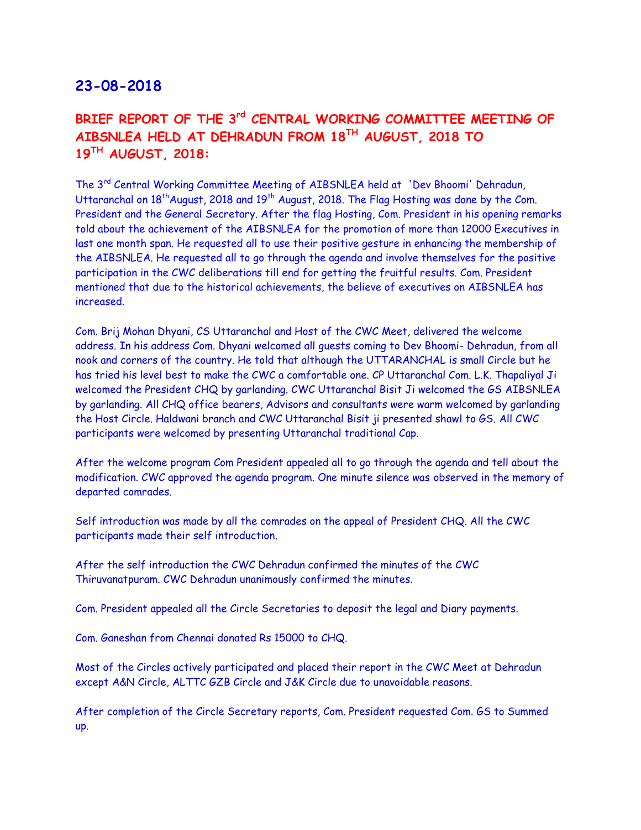# **BRIEF REPORT OF THE 3rd CENTRAL WORKING COMMITTEE MEETING OF AIBSNLEA HELD AT DEHRADUN FROM 18TH AUGUST, 2018 TO 19TH AUGUST, 2018:**

The 3rd Central Working Committee Meeting of AIBSNLEA held at 'Dev Bhoomi' Dehradun, Uttaranchal on 18<sup>th</sup> August, 2018 and 19<sup>th</sup> August, 2018. The Flag Hosting was done by the Com. President and the General Secretary. After the flag Hosting, Com. President in his opening remarks told about the achievement of the AIBSNLEA for the promotion of more than 12000 Executives in last one month span. He requested all to use their positive gesture in enhancing the membership of the AIBSNLEA. He requested all to go through the agenda and involve themselves for the positive participation in the CWC deliberations till end for getting the fruitful results. Com. President mentioned that due to the historical achievements, the believe of executives on AIBSNLEA has increased.

Com. Brij Mohan Dhyani, CS Uttaranchal and Host of the CWC Meet, delivered the welcome address. In his address Com. Dhyani welcomed all guests coming to Dev Bhoomi- Dehradun, from all nook and corners of the country. He told that although the UTTARANCHAL is small Circle but he has tried his level best to make the CWC a comfortable one. CP Uttaranchal Com. L.K. Thapaliyal Ji welcomed the President CHQ by garlanding. CWC Uttaranchal Bisit Ji welcomed the GS AIBSNLEA by garlanding. All CHQ office bearers, Advisors and consultants were warm welcomed by garlanding the Host Circle. Haldwani branch and CWC Uttaranchal Bisit ji presented shawl to GS. All CWC participants were welcomed by presenting Uttaranchal traditional Cap.

After the welcome program Com President appealed all to go through the agenda and tell about the modification. CWC approved the agenda program. One minute silence was observed in the memory of departed comrades.

Self introduction was made by all the comrades on the appeal of President CHQ. All the CWC participants made their self introduction.

After the self introduction the CWC Dehradun confirmed the minutes of the CWC Thiruvanatpuram. CWC Dehradun unanimously confirmed the minutes.

Com. President appealed all the Circle Secretaries to deposit the legal and Diary payments.

Com. Ganeshan from Chennai donated Rs 15000 to CHQ.

Most of the Circles actively participated and placed their report in the CWC Meet at Dehradun except A&N Circle, ALTTC GZB Circle and J&K Circle due to unavoidable reasons.

After completion of the Circle Secretary reports, Com. President requested Com. GS to Summed up.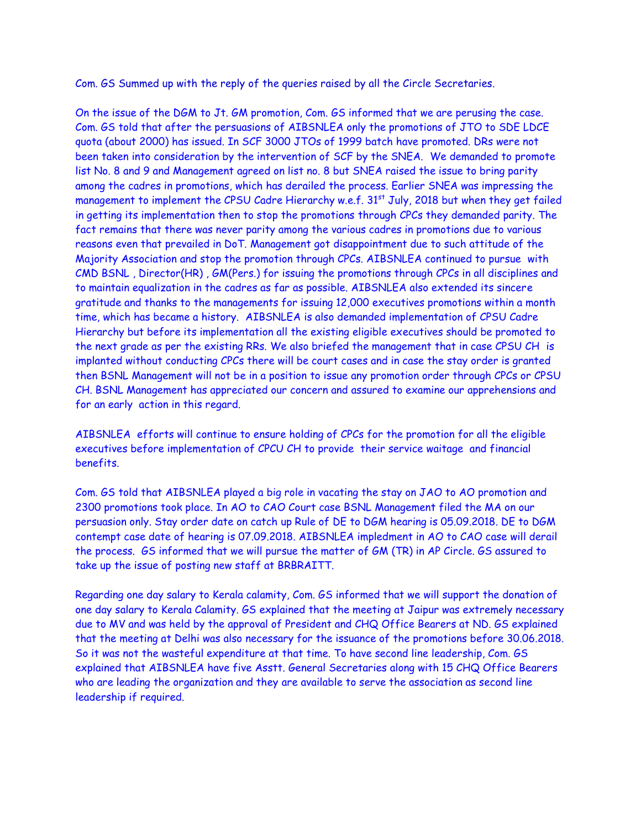Com. GS Summed up with the reply of the queries raised by all the Circle Secretaries.

On the issue of the DGM to Jt. GM promotion, Com. GS informed that we are perusing the case. Com. GS told that after the persuasions of AIBSNLEA only the promotions of JTO to SDE LDCE quota (about 2000) has issued. In SCF 3000 JTOs of 1999 batch have promoted. DRs were not been taken into consideration by the intervention of SCF by the SNEA. We demanded to promote list No. 8 and 9 and Management agreed on list no. 8 but SNEA raised the issue to bring parity among the cadres in promotions, which has derailed the process. Earlier SNEA was impressing the management to implement the CPSU Cadre Hierarchy w.e.f. 31<sup>st</sup> July, 2018 but when they get failed in getting its implementation then to stop the promotions through CPCs they demanded parity. The fact remains that there was never parity among the various cadres in promotions due to various reasons even that prevailed in DoT. Management got disappointment due to such attitude of the Majority Association and stop the promotion through CPCs. AIBSNLEA continued to pursue with CMD BSNL , Director(HR) , GM(Pers.) for issuing the promotions through CPCs in all disciplines and to maintain equalization in the cadres as far as possible. AIBSNLEA also extended its sincere gratitude and thanks to the managements for issuing 12,000 executives promotions within a month time, which has became a history. AIBSNLEA is also demanded implementation of CPSU Cadre Hierarchy but before its implementation all the existing eligible executives should be promoted to the next grade as per the existing RRs. We also briefed the management that in case CPSU CH is implanted without conducting CPCs there will be court cases and in case the stay order is granted then BSNL Management will not be in a position to issue any promotion order through CPCs or CPSU CH. BSNL Management has appreciated our concern and assured to examine our apprehensions and for an early action in this regard.

AIBSNLEA efforts will continue to ensure holding of CPCs for the promotion for all the eligible executives before implementation of CPCU CH to provide their service waitage and financial benefits.

Com. GS told that AIBSNLEA played a big role in vacating the stay on JAO to AO promotion and 2300 promotions took place. In AO to CAO Court case BSNL Management filed the MA on our persuasion only. Stay order date on catch up Rule of DE to DGM hearing is 05.09.2018. DE to DGM contempt case date of hearing is 07.09.2018. AIBSNLEA impledment in AO to CAO case will derail the process. GS informed that we will pursue the matter of GM (TR) in AP Circle. GS assured to take up the issue of posting new staff at BRBRAITT.

Regarding one day salary to Kerala calamity, Com. GS informed that we will support the donation of one day salary to Kerala Calamity. GS explained that the meeting at Jaipur was extremely necessary due to MV and was held by the approval of President and CHQ Office Bearers at ND. GS explained that the meeting at Delhi was also necessary for the issuance of the promotions before 30.06.2018. So it was not the wasteful expenditure at that time. To have second line leadership, Com. GS explained that AIBSNLEA have five Asstt. General Secretaries along with 15 CHQ Office Bearers who are leading the organization and they are available to serve the association as second line leadership if required.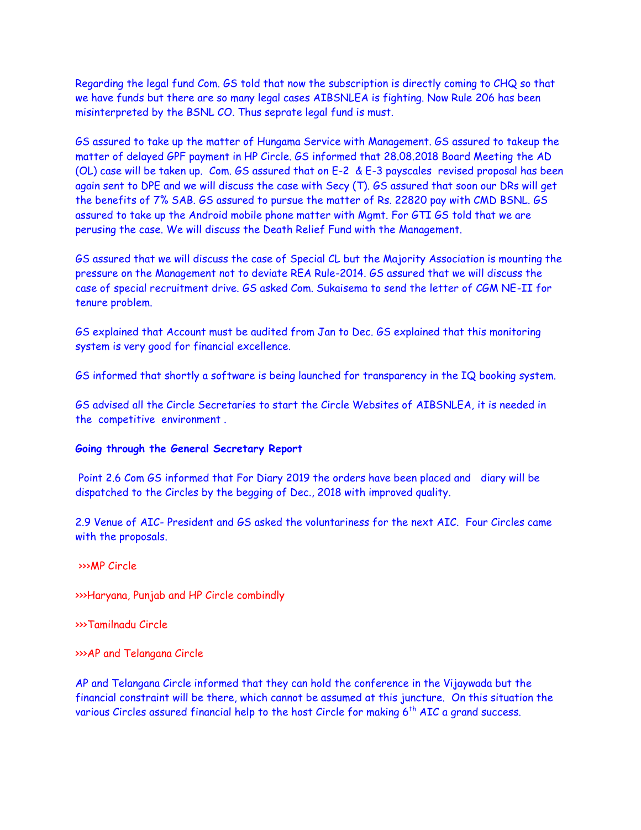Regarding the legal fund Com. GS told that now the subscription is directly coming to CHQ so that we have funds but there are so many legal cases AIBSNLEA is fighting. Now Rule 206 has been misinterpreted by the BSNL CO. Thus seprate legal fund is must.

GS assured to take up the matter of Hungama Service with Management. GS assured to takeup the matter of delayed GPF payment in HP Circle. GS informed that 28.08.2018 Board Meeting the AD (OL) case will be taken up. Com. GS assured that on E-2 & E-3 payscales revised proposal has been again sent to DPE and we will discuss the case with Secy (T). GS assured that soon our DRs will get the benefits of 7% SAB. GS assured to pursue the matter of Rs. 22820 pay with CMD BSNL. GS assured to take up the Android mobile phone matter with Mgmt. For GTI GS told that we are perusing the case. We will discuss the Death Relief Fund with the Management.

GS assured that we will discuss the case of Special CL but the Majority Association is mounting the pressure on the Management not to deviate REA Rule-2014. GS assured that we will discuss the case of special recruitment drive. GS asked Com. Sukaisema to send the letter of CGM NE-II for tenure problem.

GS explained that Account must be audited from Jan to Dec. GS explained that this monitoring system is very good for financial excellence.

GS informed that shortly a software is being launched for transparency in the IQ booking system.

GS advised all the Circle Secretaries to start the Circle Websites of AIBSNLEA, it is needed in the competitive environment .

#### **Going through the General Secretary Report**

 Point 2.6 Com GS informed that For Diary 2019 the orders have been placed and diary will be dispatched to the Circles by the begging of Dec., 2018 with improved quality.

2.9 Venue of AIC- President and GS asked the voluntariness for the next AIC. Four Circles came with the proposals.

>>>MP Circle

>>>Haryana, Punjab and HP Circle combindly

>>>Tamilnadu Circle

>>>AP and Telangana Circle

AP and Telangana Circle informed that they can hold the conference in the Vijaywada but the financial constraint will be there, which cannot be assumed at this juncture. On this situation the various Circles assured financial help to the host Circle for making  $6<sup>th</sup>$  AIC a grand success.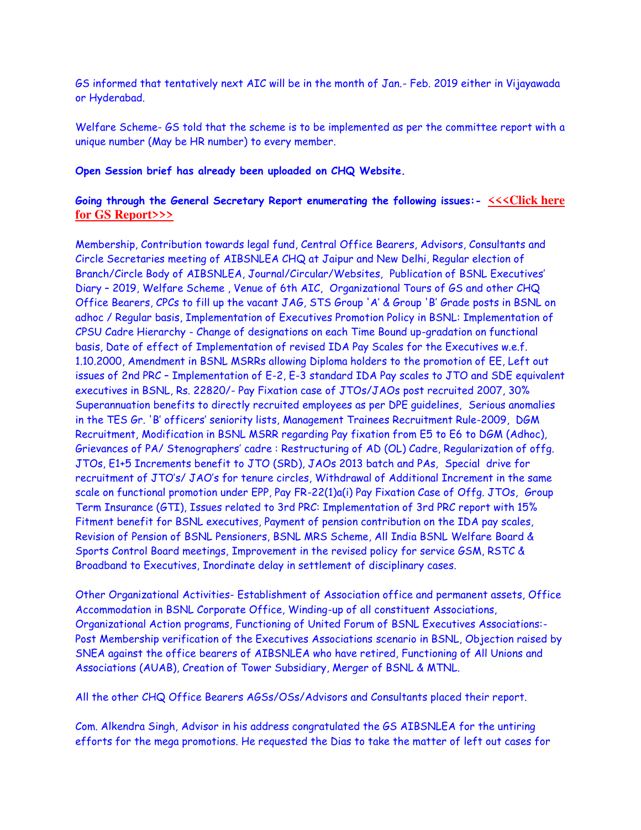GS informed that tentatively next AIC will be in the month of Jan.- Feb. 2019 either in Vijayawada or Hyderabad.

Welfare Scheme- GS told that the scheme is to be implemented as per the committee report with a unique number (May be HR number) to every member.

#### **Open Session brief has already been uploaded on CHQ Website.**

#### **Going through the General Secretary Report enumerating the following issues:- [<<<Click here](http://www.aibsnleachq.in/3.CWC%20DDN%20GS%20Report.pdf)  [for GS Report>>>](http://www.aibsnleachq.in/3.CWC%20DDN%20GS%20Report.pdf)**

Membership, Contribution towards legal fund, Central Office Bearers, Advisors, Consultants and Circle Secretaries meeting of AIBSNLEA CHQ at Jaipur and New Delhi, Regular election of Branch/Circle Body of AIBSNLEA, Journal/Circular/Websites, Publication of BSNL Executives' Diary – 2019, Welfare Scheme , Venue of 6th AIC, Organizational Tours of GS and other CHQ Office Bearers, CPCs to fill up the vacant JAG, STS Group 'A' & Group 'B' Grade posts in BSNL on adhoc / Regular basis, Implementation of Executives Promotion Policy in BSNL: Implementation of CPSU Cadre Hierarchy - Change of designations on each Time Bound up-gradation on functional basis, Date of effect of Implementation of revised IDA Pay Scales for the Executives w.e.f. 1.10.2000, Amendment in BSNL MSRRs allowing Diploma holders to the promotion of EE, Left out issues of 2nd PRC – Implementation of E-2, E-3 standard IDA Pay scales to JTO and SDE equivalent executives in BSNL, Rs. 22820/- Pay Fixation case of JTOs/JAOs post recruited 2007, 30% Superannuation benefits to directly recruited employees as per DPE guidelines, Serious anomalies in the TES Gr. 'B' officers' seniority lists, Management Trainees Recruitment Rule-2009, DGM Recruitment, Modification in BSNL MSRR regarding Pay fixation from E5 to E6 to DGM (Adhoc), Grievances of PA/ Stenographers' cadre : Restructuring of AD (OL) Cadre, Regularization of offg. JTOs, E1+5 Increments benefit to JTO (SRD), JAOs 2013 batch and PAs, Special drive for recruitment of JTO's/ JAO's for tenure circles, Withdrawal of Additional Increment in the same scale on functional promotion under EPP, Pay FR-22(1)a(i) Pay Fixation Case of Offg. JTOs, Group Term Insurance (GTI), Issues related to 3rd PRC: Implementation of 3rd PRC report with 15% Fitment benefit for BSNL executives, Payment of pension contribution on the IDA pay scales, Revision of Pension of BSNL Pensioners, BSNL MRS Scheme, All India BSNL Welfare Board & Sports Control Board meetings, Improvement in the revised policy for service GSM, RSTC & Broadband to Executives, Inordinate delay in settlement of disciplinary cases.

Other Organizational Activities- Establishment of Association office and permanent assets, Office Accommodation in BSNL Corporate Office, Winding-up of all constituent Associations, Organizational Action programs, Functioning of United Forum of BSNL Executives Associations:- Post Membership verification of the Executives Associations scenario in BSNL, Objection raised by SNEA against the office bearers of AIBSNLEA who have retired, Functioning of All Unions and Associations (AUAB), Creation of Tower Subsidiary, Merger of BSNL & MTNL.

All the other CHQ Office Bearers AGSs/OSs/Advisors and Consultants placed their report.

Com. Alkendra Singh, Advisor in his address congratulated the GS AIBSNLEA for the untiring efforts for the mega promotions. He requested the Dias to take the matter of left out cases for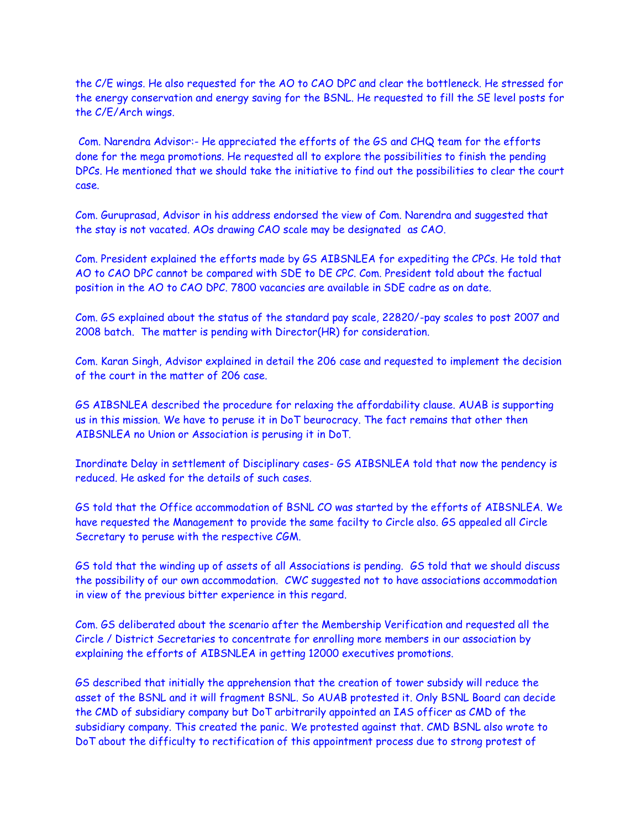the C/E wings. He also requested for the AO to CAO DPC and clear the bottleneck. He stressed for the energy conservation and energy saving for the BSNL. He requested to fill the SE level posts for the C/E/Arch wings.

 Com. Narendra Advisor:- He appreciated the efforts of the GS and CHQ team for the efforts done for the mega promotions. He requested all to explore the possibilities to finish the pending DPCs. He mentioned that we should take the initiative to find out the possibilities to clear the court case.

Com. Guruprasad, Advisor in his address endorsed the view of Com. Narendra and suggested that the stay is not vacated. AOs drawing CAO scale may be designated as CAO.

Com. President explained the efforts made by GS AIBSNLEA for expediting the CPCs. He told that AO to CAO DPC cannot be compared with SDE to DE CPC. Com. President told about the factual position in the AO to CAO DPC. 7800 vacancies are available in SDE cadre as on date.

Com. GS explained about the status of the standard pay scale, 22820/-pay scales to post 2007 and 2008 batch. The matter is pending with Director(HR) for consideration.

Com. Karan Singh, Advisor explained in detail the 206 case and requested to implement the decision of the court in the matter of 206 case.

GS AIBSNLEA described the procedure for relaxing the affordability clause. AUAB is supporting us in this mission. We have to peruse it in DoT beurocracy. The fact remains that other then AIBSNLEA no Union or Association is perusing it in DoT.

Inordinate Delay in settlement of Disciplinary cases- GS AIBSNLEA told that now the pendency is reduced. He asked for the details of such cases.

GS told that the Office accommodation of BSNL CO was started by the efforts of AIBSNLEA. We have requested the Management to provide the same facilty to Circle also. GS appealed all Circle Secretary to peruse with the respective CGM.

GS told that the winding up of assets of all Associations is pending. GS told that we should discuss the possibility of our own accommodation. CWC suggested not to have associations accommodation in view of the previous bitter experience in this regard.

Com. GS deliberated about the scenario after the Membership Verification and requested all the Circle / District Secretaries to concentrate for enrolling more members in our association by explaining the efforts of AIBSNLEA in getting 12000 executives promotions.

GS described that initially the apprehension that the creation of tower subsidy will reduce the asset of the BSNL and it will fragment BSNL. So AUAB protested it. Only BSNL Board can decide the CMD of subsidiary company but DoT arbitrarily appointed an IAS officer as CMD of the subsidiary company. This created the panic. We protested against that. CMD BSNL also wrote to DoT about the difficulty to rectification of this appointment process due to strong protest of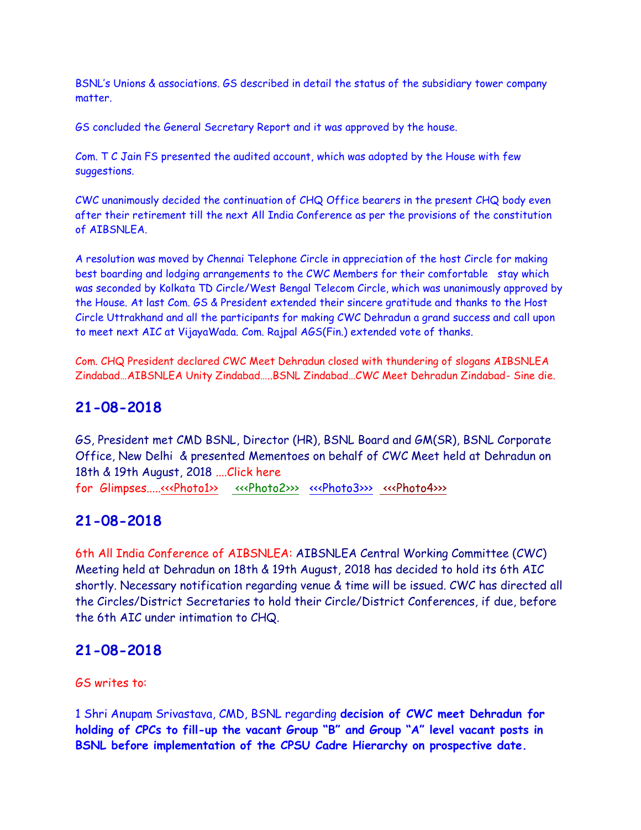BSNL's Unions & associations. GS described in detail the status of the subsidiary tower company matter.

GS concluded the General Secretary Report and it was approved by the house.

Com. T C Jain FS presented the audited account, which was adopted by the House with few suggestions.

CWC unanimously decided the continuation of CHQ Office bearers in the present CHQ body even after their retirement till the next All India Conference as per the provisions of the constitution of AIBSNLEA.

A resolution was moved by Chennai Telephone Circle in appreciation of the host Circle for making best boarding and lodging arrangements to the CWC Members for their comfortable stay which was seconded by Kolkata TD Circle/West Bengal Telecom Circle, which was unanimously approved by the House. At last Com. GS & President extended their sincere gratitude and thanks to the Host Circle Uttrakhand and all the participants for making CWC Dehradun a grand success and call upon to meet next AIC at VijayaWada. Com. Rajpal AGS(Fin.) extended vote of thanks.

Com. CHQ President declared CWC Meet Dehradun closed with thundering of slogans AIBSNLEA Zindabad…AIBSNLEA Unity Zindabad…..BSNL Zindabad…CWC Meet Dehradun Zindabad- Sine die.

#### **21-08-2018**

GS, President met CMD BSNL, Director (HR), BSNL Board and GM(SR), BSNL Corporate Office, New Delhi & presented Mementoes on behalf of CWC Meet held at Dehradun on 18th & 19th August, 2018 ....Click here for Glimpses....[.<<<Photo1>>](http://www.aibsnleachq.in/cd8100dd-735c-4eb9-855f-0209844665c7.jpg) [<<<Photo2>>>](http://www.aibsnleachq.in/a6ebbb1a-b1c6-470a-af03-ab8033d6bbfb.jpg) [<<<Photo3>>>](http://www.aibsnleachq.in/04f6737f-49e2-4fa8-b6b4-613927ae8d97.jpg) [<<<Photo4>>>](http://www.aibsnleachq.in/23e0b506-e5b6-4ebc-b38b-45b6bd0ff94d.jpg)

#### **21-08-2018**

6th All India Conference of AIBSNLEA: AIBSNLEA Central Working Committee (CWC) Meeting held at Dehradun on 18th & 19th August, 2018 has decided to hold its 6th AIC shortly. Necessary notification regarding venue & time will be issued. CWC has directed all the Circles/District Secretaries to hold their Circle/District Conferences, if due, before the 6th AIC under intimation to CHQ.

#### **21-08-2018**

GS writes to:

1 Shri Anupam Srivastava, CMD, BSNL regarding **decision of CWC meet Dehradun for holding of CPCs to fill-up the vacant Group "B" and Group "A" level vacant posts in BSNL before implementation of the CPSU Cadre Hierarchy on prospective date.**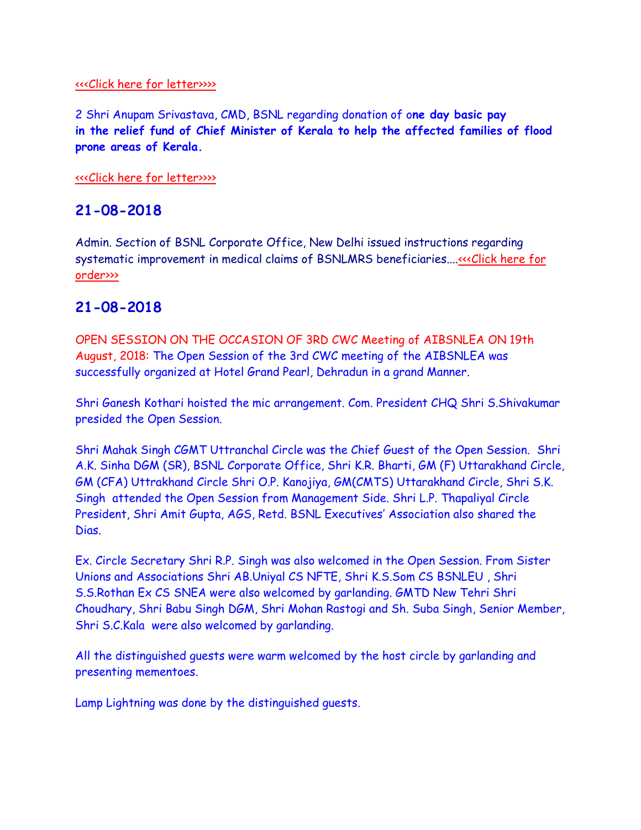#### [<<<Click here for letter>>>>](http://www.aibsnleachq.in/CMD_180821_1.pdf)

2 Shri Anupam Srivastava, CMD, BSNL regarding donation of o**ne day basic pay in the relief fund of Chief Minister of Kerala to help the affected families of flood prone areas of Kerala.**

#### [<<<Click here for letter>>>>](http://www.aibsnleachq.in/CMD_180821.pdf)

## **21-08-2018**

Admin. Section of BSNL Corporate Office, New Delhi issued instructions regarding systematic improvement in medical claims of BSNLMRS beneficiaries...[.<<<Click here for](http://www.aibsnleachq.in/bsnlmrs%20clarification%20(1).pdf)  [order>>>](http://www.aibsnleachq.in/bsnlmrs%20clarification%20(1).pdf)

## **21-08-2018**

OPEN SESSION ON THE OCCASION OF 3RD CWC Meeting of AIBSNLEA ON 19th August, 2018: The Open Session of the 3rd CWC meeting of the AIBSNLEA was successfully organized at Hotel Grand Pearl, Dehradun in a grand Manner.

Shri Ganesh Kothari hoisted the mic arrangement. Com. President CHQ Shri S.Shivakumar presided the Open Session.

Shri Mahak Singh CGMT Uttranchal Circle was the Chief Guest of the Open Session. Shri A.K. Sinha DGM (SR), BSNL Corporate Office, Shri K.R. Bharti, GM (F) Uttarakhand Circle, GM (CFA) Uttrakhand Circle Shri O.P. Kanojiya, GM(CMTS) Uttarakhand Circle, Shri S.K. Singh attended the Open Session from Management Side. Shri L.P. Thapaliyal Circle President, Shri Amit Gupta, AGS, Retd. BSNL Executives' Association also shared the Dias.

Ex. Circle Secretary Shri R.P. Singh was also welcomed in the Open Session. From Sister Unions and Associations Shri AB.Uniyal CS NFTE, Shri K.S.Som CS BSNLEU , Shri S.S.Rothan Ex CS SNEA were also welcomed by garlanding. GMTD New Tehri Shri Choudhary, Shri Babu Singh DGM, Shri Mohan Rastogi and Sh. Suba Singh, Senior Member, Shri S.C.Kala were also welcomed by garlanding.

All the distinguished guests were warm welcomed by the host circle by garlanding and presenting mementoes.

Lamp Lightning was done by the distinguished guests.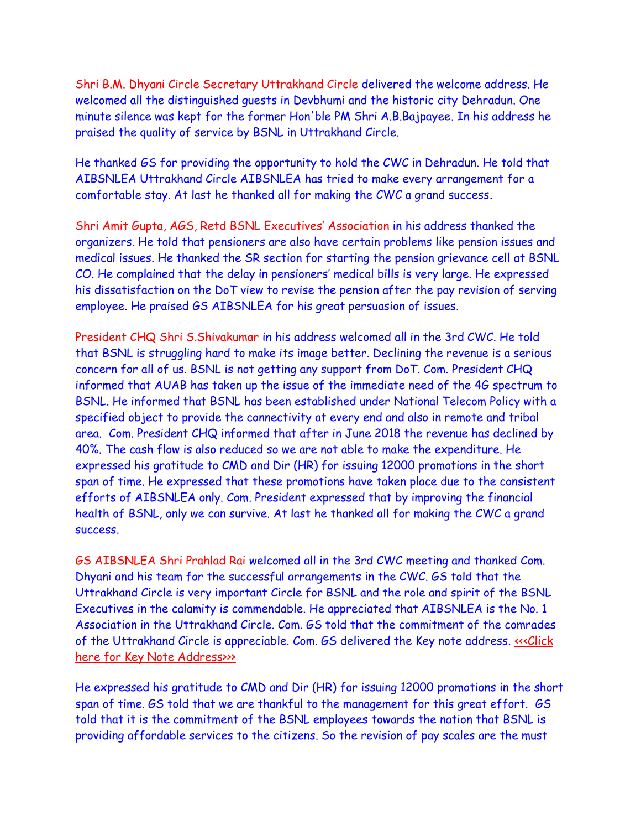Shri B.M. Dhyani Circle Secretary Uttrakhand Circle delivered the welcome address. He welcomed all the distinguished guests in Devbhumi and the historic city Dehradun. One minute silence was kept for the former Hon'ble PM Shri A.B.Bajpayee. In his address he praised the quality of service by BSNL in Uttrakhand Circle.

He thanked GS for providing the opportunity to hold the CWC in Dehradun. He told that AIBSNLEA Uttrakhand Circle AIBSNLEA has tried to make every arrangement for a comfortable stay. At last he thanked all for making the CWC a grand success.

Shri Amit Gupta, AGS, Retd BSNL Executives' Association in his address thanked the organizers. He told that pensioners are also have certain problems like pension issues and medical issues. He thanked the SR section for starting the pension grievance cell at BSNL CO. He complained that the delay in pensioners' medical bills is very large. He expressed his dissatisfaction on the DoT view to revise the pension after the pay revision of serving employee. He praised GS AIBSNLEA for his great persuasion of issues.

President CHQ Shri S.Shivakumar in his address welcomed all in the 3rd CWC. He told that BSNL is struggling hard to make its image better. Declining the revenue is a serious concern for all of us. BSNL is not getting any support from DoT. Com. President CHQ informed that AUAB has taken up the issue of the immediate need of the 4G spectrum to BSNL. He informed that BSNL has been established under National Telecom Policy with a specified object to provide the connectivity at every end and also in remote and tribal area. Com. President CHQ informed that after in June 2018 the revenue has declined by 40%. The cash flow is also reduced so we are not able to make the expenditure. He expressed his gratitude to CMD and Dir (HR) for issuing 12000 promotions in the short span of time. He expressed that these promotions have taken place due to the consistent efforts of AIBSNLEA only. Com. President expressed that by improving the financial health of BSNL, only we can survive. At last he thanked all for making the CWC a grand success.

GS AIBSNLEA Shri Prahlad Rai welcomed all in the 3rd CWC meeting and thanked Com. Dhyani and his team for the successful arrangements in the CWC. GS told that the Uttrakhand Circle is very important Circle for BSNL and the role and spirit of the BSNL Executives in the calamity is commendable. He appreciated that AIBSNLEA is the No. 1 Association in the Uttrakhand Circle. Com. GS told that the commitment of the comrades of the Uttrakhand Circle is appreciable. Com. GS delivered the Key note address. [<<<Click](http://www.aibsnleachq.in/CWC%20DDN%20Key%20Note_revised_15082018.pdf)  [here for Key Note Address>>>](http://www.aibsnleachq.in/CWC%20DDN%20Key%20Note_revised_15082018.pdf)

He expressed his gratitude to CMD and Dir (HR) for issuing 12000 promotions in the short span of time. GS told that we are thankful to the management for this great effort. GS told that it is the commitment of the BSNL employees towards the nation that BSNL is providing affordable services to the citizens. So the revision of pay scales are the must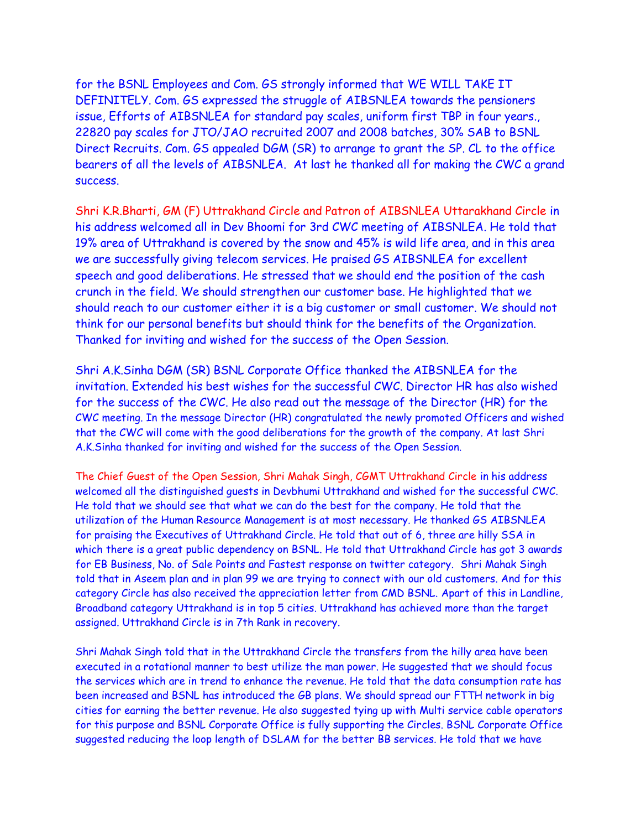for the BSNL Employees and Com. GS strongly informed that WE WILL TAKE IT DEFINITELY. Com. GS expressed the struggle of AIBSNLEA towards the pensioners issue, Efforts of AIBSNLEA for standard pay scales, uniform first TBP in four years., 22820 pay scales for JTO/JAO recruited 2007 and 2008 batches, 30% SAB to BSNL Direct Recruits. Com. GS appealed DGM (SR) to arrange to grant the SP. CL to the office bearers of all the levels of AIBSNLEA. At last he thanked all for making the CWC a grand success.

Shri K.R.Bharti, GM (F) Uttrakhand Circle and Patron of AIBSNLEA Uttarakhand Circle in his address welcomed all in Dev Bhoomi for 3rd CWC meeting of AIBSNLEA. He told that 19% area of Uttrakhand is covered by the snow and 45% is wild life area, and in this area we are successfully giving telecom services. He praised GS AIBSNLEA for excellent speech and good deliberations. He stressed that we should end the position of the cash crunch in the field. We should strengthen our customer base. He highlighted that we should reach to our customer either it is a big customer or small customer. We should not think for our personal benefits but should think for the benefits of the Organization. Thanked for inviting and wished for the success of the Open Session.

Shri A.K.Sinha DGM (SR) BSNL Corporate Office thanked the AIBSNLEA for the invitation. Extended his best wishes for the successful CWC. Director HR has also wished for the success of the CWC. He also read out the message of the Director (HR) for the CWC meeting. In the message Director (HR) congratulated the newly promoted Officers and wished that the CWC will come with the good deliberations for the growth of the company. At last Shri A.K.Sinha thanked for inviting and wished for the success of the Open Session.

The Chief Guest of the Open Session, Shri Mahak Singh, CGMT Uttrakhand Circle in his address welcomed all the distinguished guests in Devbhumi Uttrakhand and wished for the successful CWC. He told that we should see that what we can do the best for the company. He told that the utilization of the Human Resource Management is at most necessary. He thanked GS AIBSNLEA for praising the Executives of Uttrakhand Circle. He told that out of 6, three are hilly SSA in which there is a great public dependency on BSNL. He told that Uttrakhand Circle has got 3 awards for EB Business, No. of Sale Points and Fastest response on twitter category. Shri Mahak Singh told that in Aseem plan and in plan 99 we are trying to connect with our old customers. And for this category Circle has also received the appreciation letter from CMD BSNL. Apart of this in Landline, Broadband category Uttrakhand is in top 5 cities. Uttrakhand has achieved more than the target assigned. Uttrakhand Circle is in 7th Rank in recovery.

Shri Mahak Singh told that in the Uttrakhand Circle the transfers from the hilly area have been executed in a rotational manner to best utilize the man power. He suggested that we should focus the services which are in trend to enhance the revenue. He told that the data consumption rate has been increased and BSNL has introduced the GB plans. We should spread our FTTH network in big cities for earning the better revenue. He also suggested tying up with Multi service cable operators for this purpose and BSNL Corporate Office is fully supporting the Circles. BSNL Corporate Office suggested reducing the loop length of DSLAM for the better BB services. He told that we have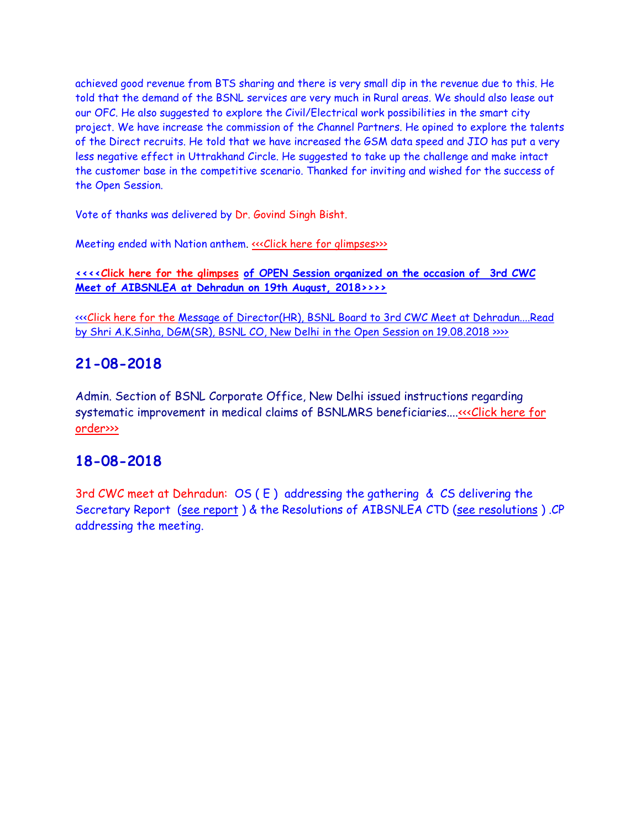achieved good revenue from BTS sharing and there is very small dip in the revenue due to this. He told that the demand of the BSNL services are very much in Rural areas. We should also lease out our OFC. He also suggested to explore the Civil/Electrical work possibilities in the smart city project. We have increase the commission of the Channel Partners. He opined to explore the talents of the Direct recruits. He told that we have increased the GSM data speed and JIO has put a very less negative effect in Uttrakhand Circle. He suggested to take up the challenge and make intact the customer base in the competitive scenario. Thanked for inviting and wished for the success of the Open Session.

Vote of thanks was delivered by Dr. Govind Singh Bisht.

Meeting ended with Nation anthem. «<< Click here for glimpses>>>

**[<<<<Click here for the glimpses of OPEN Session organized on the occasion of 3rd CWC](http://www.aibsnleachq.in/OPEN%20SESSION_3rd_CWC/index.html)  [Meet of AIBSNLEA at Dehradun on 19th August, 2018>>>>](http://www.aibsnleachq.in/OPEN%20SESSION_3rd_CWC/index.html)**

[<<<Click here for the Message of Director\(HR\), BSNL Board to 3rd CWC Meet at Dehradun....Read](http://www.aibsnleachq.in/Message_HR_20180827.pdf)  [by Shri A.K.Sinha, DGM\(SR\), BSNL CO, New Delhi in the Open Session on 19.08.2018 >>>>](http://www.aibsnleachq.in/Message_HR_20180827.pdf)

## **21-08-2018**

Admin. Section of BSNL Corporate Office, New Delhi issued instructions regarding systematic improvement in medical claims of BSNLMRS beneficiaries....<<<Click here for [order>>>](http://www.aibsnleachq.in/bsnlmrs%20clarification%20(1).pdf)

# **18-08-2018**

3rd CWC meet at Dehradun: OS ( E ) addressing the gathering & CS delivering the Secretary Report [\(see report](http://aibsnleawb.org/CS_Add_Dehradun.pdf) ) & the Resolutions of AIBSNLEA CTD [\(see resolutions](http://aibsnleawb.org/Resolution_dehradun.pdf) ) .CP addressing the meeting.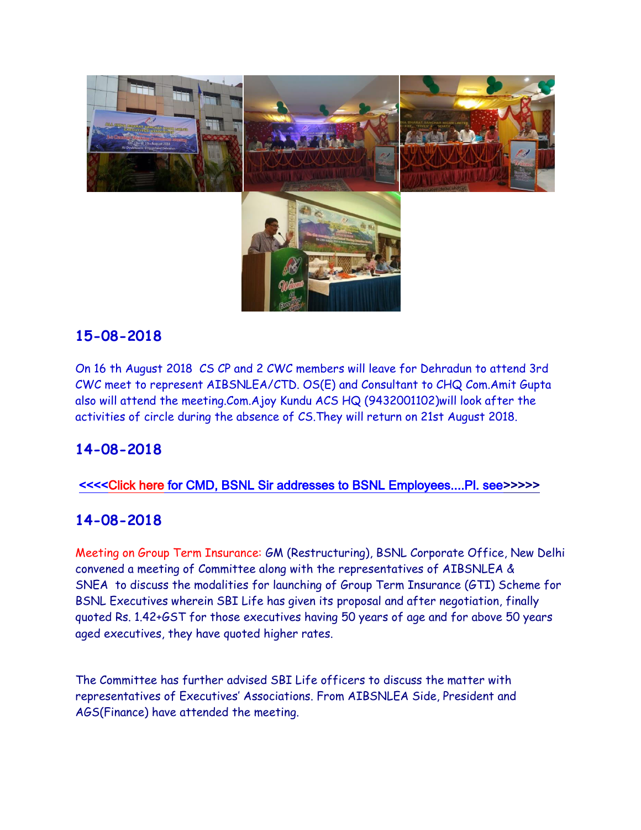

On 16 th August 2018 CS CP and 2 CWC members will leave for Dehradun to attend 3rd CWC meet to represent AIBSNLEA/CTD. OS(E) and Consultant to CHQ Com.Amit Gupta also will attend the meeting.Com.Ajoy Kundu ACS HQ (9432001102)will look after the activities of circle during the absence of CS.They will return on 21st August 2018.

# **14-08-2018**

#### [<<<<Click here for CMD, BSNL Sir addresses to BSNL Employees....Pl. see>>>>>](http://www.aibsnleachq.in/6b3b5c31-a9f4-43a2-84d6-0cab9a04fc0a.mp4)

## **14-08-2018**

Meeting on Group Term Insurance: GM (Restructuring), BSNL Corporate Office, New Delhi convened a meeting of Committee along with the representatives of AIBSNLEA & SNEA to discuss the modalities for launching of Group Term Insurance (GTI) Scheme for BSNL Executives wherein SBI Life has given its proposal and after negotiation, finally quoted Rs. 1.42+GST for those executives having 50 years of age and for above 50 years aged executives, they have quoted higher rates.

The Committee has further advised SBI Life officers to discuss the matter with representatives of Executives' Associations. From AIBSNLEA Side, President and AGS(Finance) have attended the meeting.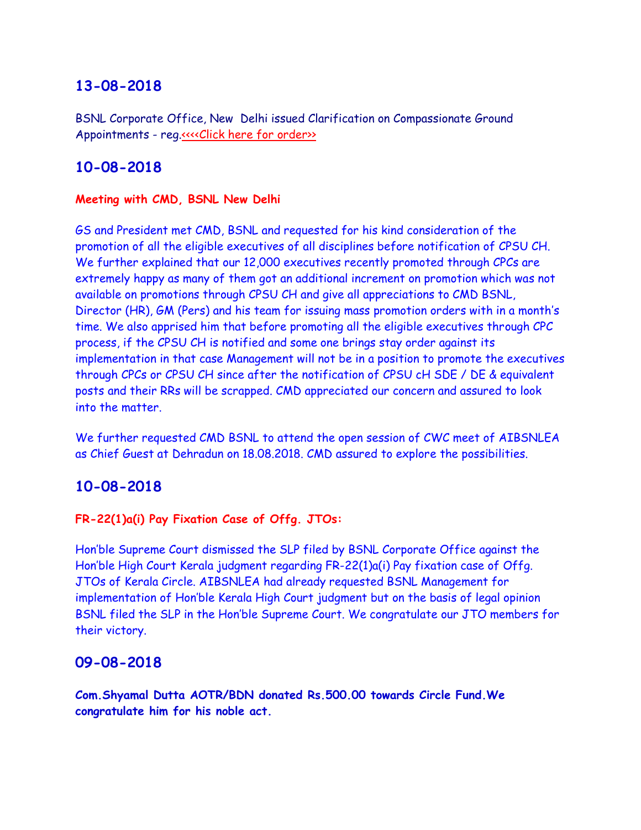BSNL Corporate Office, New Delhi issued Clarification on Compassionate Ground Appointments - reg[.<<<<Click here for order>>](http://www.aibsnleachq.in/clarification%20on%20CGA%20%2013.08.20180001.pdf)

## **10-08-2018**

#### **Meeting with CMD, BSNL New Delhi**

GS and President met CMD, BSNL and requested for his kind consideration of the promotion of all the eligible executives of all disciplines before notification of CPSU CH. We further explained that our 12,000 executives recently promoted through CPCs are extremely happy as many of them got an additional increment on promotion which was not available on promotions through CPSU CH and give all appreciations to CMD BSNL, Director (HR), GM (Pers) and his team for issuing mass promotion orders with in a month's time. We also apprised him that before promoting all the eligible executives through CPC process, if the CPSU CH is notified and some one brings stay order against its implementation in that case Management will not be in a position to promote the executives through CPCs or CPSU CH since after the notification of CPSU cH SDE / DE & equivalent posts and their RRs will be scrapped. CMD appreciated our concern and assured to look into the matter.

We further requested CMD BSNL to attend the open session of CWC meet of AIBSNLEA as Chief Guest at Dehradun on 18.08.2018. CMD assured to explore the possibilities.

#### **10-08-2018**

#### **FR-22(1)a(i) Pay Fixation Case of Offg. JTOs:**

Hon'ble Supreme Court dismissed the SLP filed by BSNL Corporate Office against the Hon'ble High Court Kerala judgment regarding FR-22(1)a(i) Pay fixation case of Offg. JTOs of Kerala Circle. AIBSNLEA had already requested BSNL Management for implementation of Hon'ble Kerala High Court judgment but on the basis of legal opinion BSNL filed the SLP in the Hon'ble Supreme Court. We congratulate our JTO members for their victory.

#### **09-08-2018**

**Com.Shyamal Dutta AOTR/BDN donated Rs.500.00 towards Circle Fund.We congratulate him for his noble act.**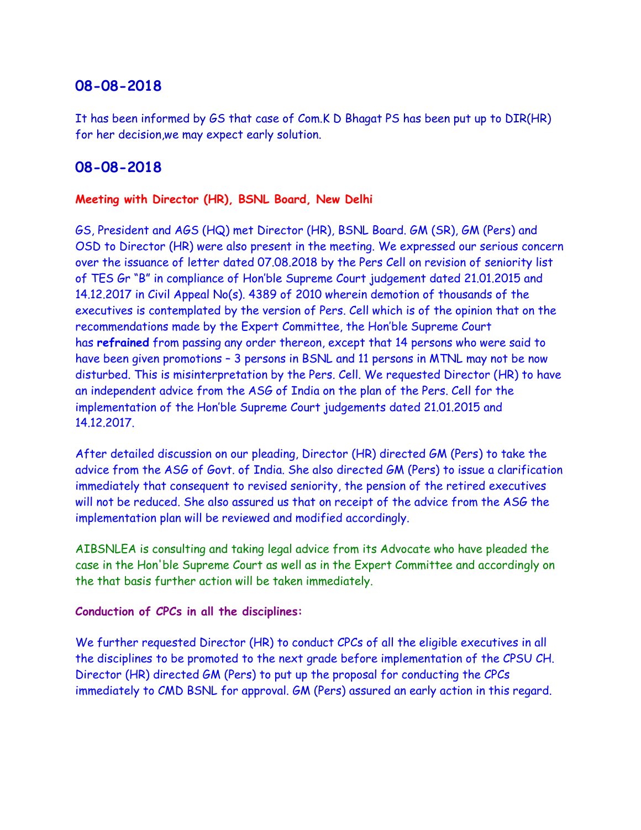It has been informed by GS that case of Com.K D Bhagat PS has been put up to DIR(HR) for her decision,we may expect early solution.

## **08-08-2018**

#### **Meeting with Director (HR), BSNL Board, New Delhi**

GS, President and AGS (HQ) met Director (HR), BSNL Board. GM (SR), GM (Pers) and OSD to Director (HR) were also present in the meeting. We expressed our serious concern over the issuance of letter dated 07.08.2018 by the Pers Cell on revision of seniority list of TES Gr "B" in compliance of Hon'ble Supreme Court judgement dated 21.01.2015 and 14.12.2017 in Civil Appeal No(s). 4389 of 2010 wherein demotion of thousands of the executives is contemplated by the version of Pers. Cell which is of the opinion that on the recommendations made by the Expert Committee, the Hon'ble Supreme Court has **refrained** from passing any order thereon, except that 14 persons who were said to have been given promotions – 3 persons in BSNL and 11 persons in MTNL may not be now disturbed. This is misinterpretation by the Pers. Cell. We requested Director (HR) to have an independent advice from the ASG of India on the plan of the Pers. Cell for the implementation of the Hon'ble Supreme Court judgements dated 21.01.2015 and 14.12.2017.

After detailed discussion on our pleading, Director (HR) directed GM (Pers) to take the advice from the ASG of Govt. of India. She also directed GM (Pers) to issue a clarification immediately that consequent to revised seniority, the pension of the retired executives will not be reduced. She also assured us that on receipt of the advice from the ASG the implementation plan will be reviewed and modified accordingly.

AIBSNLEA is consulting and taking legal advice from its Advocate who have pleaded the case in the Hon'ble Supreme Court as well as in the Expert Committee and accordingly on the that basis further action will be taken immediately.

#### **Conduction of CPCs in all the disciplines:**

We further requested Director (HR) to conduct CPCs of all the eligible executives in all the disciplines to be promoted to the next grade before implementation of the CPSU CH. Director (HR) directed GM (Pers) to put up the proposal for conducting the CPCs immediately to CMD BSNL for approval. GM (Pers) assured an early action in this regard.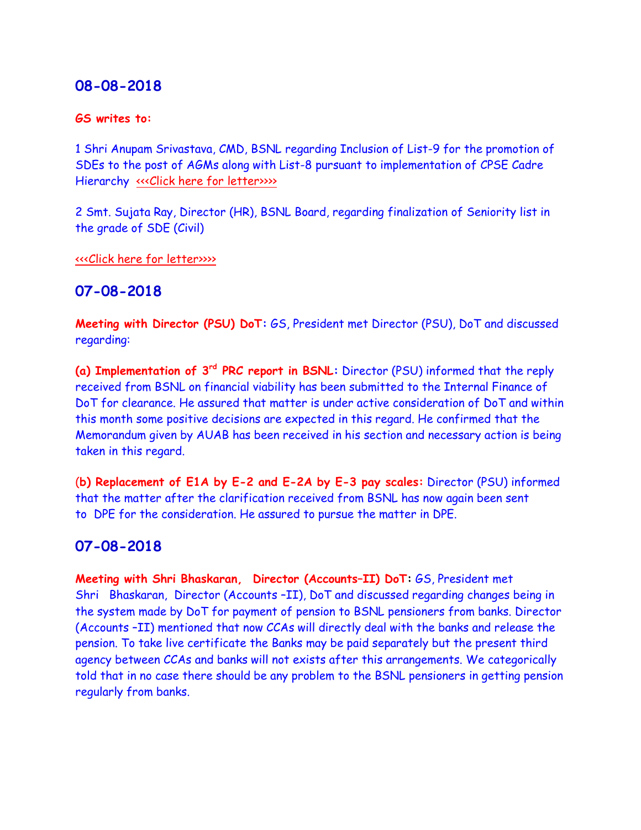#### **GS writes to:**

1 Shri Anupam Srivastava, CMD, BSNL regarding Inclusion of List-9 for the promotion of SDEs to the post of AGMs along with List-8 pursuant to implementation of CPSE Cadre Hierarchy «<< Click here for letter>>>>

2 Smt. Sujata Ray, Director (HR), BSNL Board, regarding finalization of Seniority list in the grade of SDE (Civil)

[<<<Click here for letter>>>>](http://www.aibsnleachq.in/DIRHR_180807.pdf)

#### **07-08-2018**

**Meeting with Director (PSU) DoT:** GS, President met Director (PSU), DoT and discussed regarding:

**(a) Implementation of 3rd PRC report in BSNL:** Director (PSU) informed that the reply received from BSNL on financial viability has been submitted to the Internal Finance of DoT for clearance. He assured that matter is under active consideration of DoT and within this month some positive decisions are expected in this regard. He confirmed that the Memorandum given by AUAB has been received in his section and necessary action is being taken in this regard.

(**b) Replacement of E1A by E-2 and E-2A by E-3 pay scales:** Director (PSU) informed that the matter after the clarification received from BSNL has now again been sent to DPE for the consideration. He assured to pursue the matter in DPE.

#### **07-08-2018**

**Meeting with Shri Bhaskaran, Director (Accounts–II) DoT:** GS, President met Shri Bhaskaran, Director (Accounts –II), DoT and discussed regarding changes being in the system made by DoT for payment of pension to BSNL pensioners from banks. Director (Accounts –II) mentioned that now CCAs will directly deal with the banks and release the pension. To take live certificate the Banks may be paid separately but the present third agency between CCAs and banks will not exists after this arrangements. We categorically told that in no case there should be any problem to the BSNL pensioners in getting pension regularly from banks.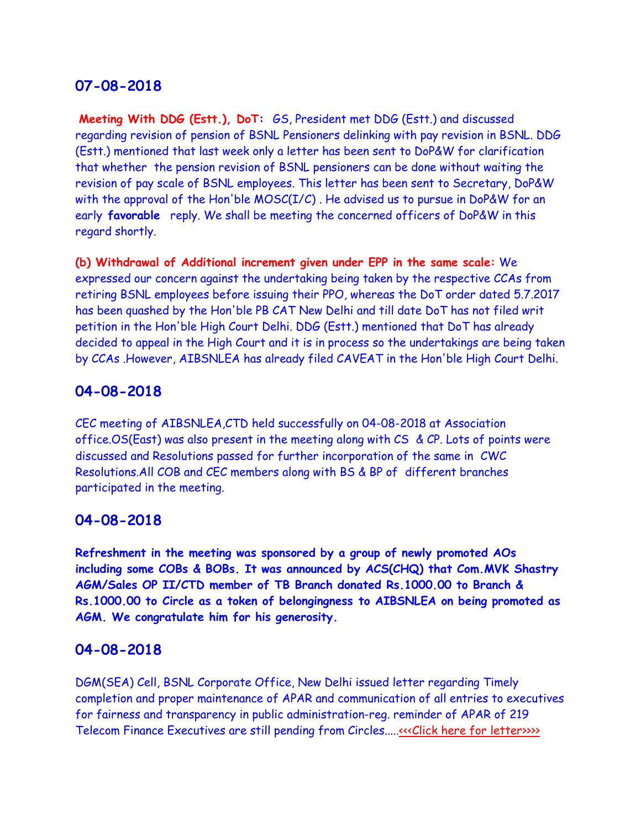**Meeting With DDG (Estt.), DoT:** GS, President met DDG (Estt.) and discussed regarding revision of pension of BSNL Pensioners delinking with pay revision in BSNL. DDG (Estt.) mentioned that last week only a letter has been sent to DoP&W for clarification that whether the pension revision of BSNL pensioners can be done without waiting the revision of pay scale of BSNL employees. This letter has been sent to Secretary, DoP&W with the approval of the Hon'ble  $MOSC(I/C)$ . He advised us to pursue in DoP&W for an early **favorable** reply. We shall be meeting the concerned officers of DoP&W in this regard shortly.

**(b) Withdrawal of Additional increment given under EPP in the same scale:** We expressed our concern against the undertaking being taken by the respective CCAs from retiring BSNL employees before issuing their PPO, whereas the DoT order dated 5.7.2017 has been quashed by the Hon'ble PB CAT New Delhi and till date DoT has not filed writ petition in the Hon'ble High Court Delhi. DDG (Estt.) mentioned that DoT has already decided to appeal in the High Court and it is in process so the undertakings are being taken by CCAs .However, AIBSNLEA has already filed CAVEAT in the Hon'ble High Court Delhi.

## **04-08-2018**

CEC meeting of AIBSNLEA,CTD held successfully on 04-08-2018 at Association office.OS(East) was also present in the meeting along with  $CS \& CP$ . Lots of points were discussed and Resolutions passed for further incorporation of the same in CWC Resolutions.All COB and CEC members along with BS & BP of different branches participated in the meeting.

## **04-08-2018**

**Refreshment in the meeting was sponsored by a group of newly promoted AOs including some COBs & BOBs. It was announced by ACS(CHQ) that Com.MVK Shastry AGM/Sales OP II/CTD member of TB Branch donated Rs.1000.00 to Branch & Rs.1000.00 to Circle as a token of belongingness to AIBSNLEA on being promoted as AGM. We congratulate him for his generosity.**

#### **04-08-2018**

DGM(SEA) Cell, BSNL Corporate Office, New Delhi issued letter regarding Timely completion and proper maintenance of APAR and communication of all entries to executives for fairness and transparency in public administration-reg. reminder of APAR of 219 Telecom Finance Executives are still pending from Circles.....<<< Click here for letter>>>>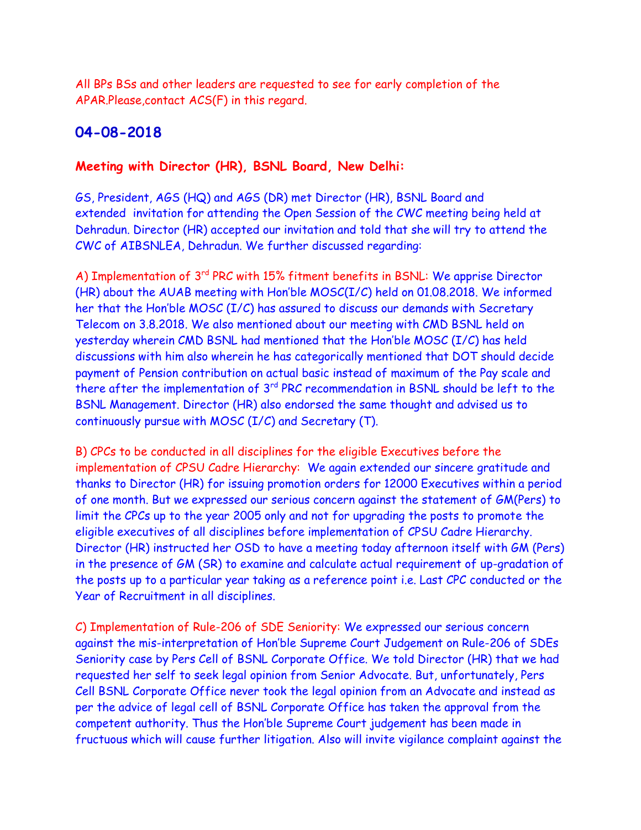All BPs BSs and other leaders are requested to see for early completion of the APAR.Please,contact ACS(F) in this regard.

## **04-08-2018**

#### **Meeting with Director (HR), BSNL Board, New Delhi:**

GS, President, AGS (HQ) and AGS (DR) met Director (HR), BSNL Board and extended invitation for attending the Open Session of the CWC meeting being held at Dehradun. Director (HR) accepted our invitation and told that she will try to attend the CWC of AIBSNLEA, Dehradun. We further discussed regarding:

A) Implementation of 3<sup>rd</sup> PRC with 15% fitment benefits in BSNL: We apprise Director (HR) about the AUAB meeting with Hon'ble MOSC(I/C) held on 01.08.2018. We informed her that the Hon'ble MOSC (I/C) has assured to discuss our demands with Secretary Telecom on 3.8.2018. We also mentioned about our meeting with CMD BSNL held on yesterday wherein CMD BSNL had mentioned that the Hon'ble MOSC (I/C) has held discussions with him also wherein he has categorically mentioned that DOT should decide payment of Pension contribution on actual basic instead of maximum of the Pay scale and there after the implementation of 3<sup>rd</sup> PRC recommendation in BSNL should be left to the BSNL Management. Director (HR) also endorsed the same thought and advised us to continuously pursue with MOSC (I/C) and Secretary (T).

B) CPCs to be conducted in all disciplines for the eligible Executives before the implementation of CPSU Cadre Hierarchy: We again extended our sincere gratitude and thanks to Director (HR) for issuing promotion orders for 12000 Executives within a period of one month. But we expressed our serious concern against the statement of GM(Pers) to limit the CPCs up to the year 2005 only and not for upgrading the posts to promote the eligible executives of all disciplines before implementation of CPSU Cadre Hierarchy. Director (HR) instructed her OSD to have a meeting today afternoon itself with GM (Pers) in the presence of GM (SR) to examine and calculate actual requirement of up-gradation of the posts up to a particular year taking as a reference point i.e. Last CPC conducted or the Year of Recruitment in all disciplines.

C) Implementation of Rule-206 of SDE Seniority: We expressed our serious concern against the mis-interpretation of Hon'ble Supreme Court Judgement on Rule-206 of SDEs Seniority case by Pers Cell of BSNL Corporate Office. We told Director (HR) that we had requested her self to seek legal opinion from Senior Advocate. But, unfortunately, Pers Cell BSNL Corporate Office never took the legal opinion from an Advocate and instead as per the advice of legal cell of BSNL Corporate Office has taken the approval from the competent authority. Thus the Hon'ble Supreme Court judgement has been made in fructuous which will cause further litigation. Also will invite vigilance complaint against the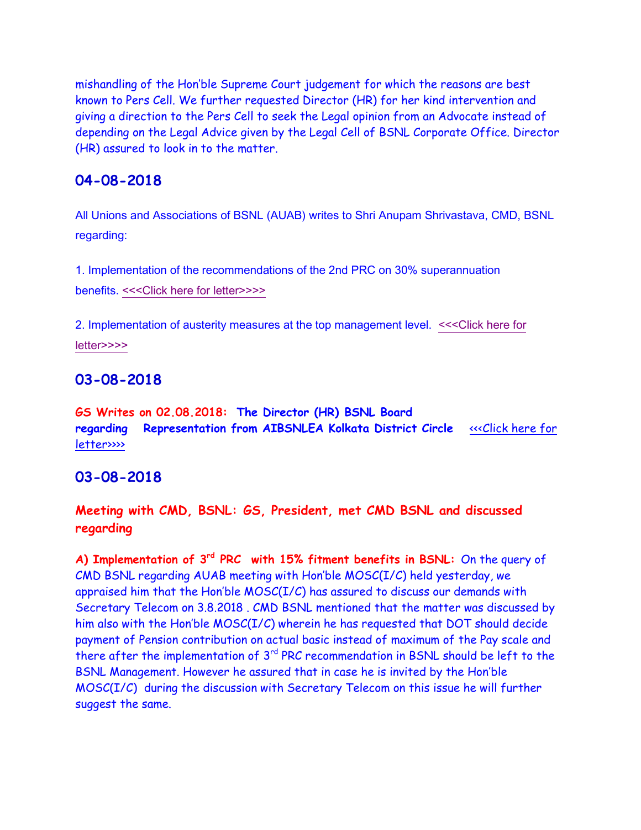mishandling of the Hon'ble Supreme Court judgement for which the reasons are best known to Pers Cell. We further requested Director (HR) for her kind intervention and giving a direction to the Pers Cell to seek the Legal opinion from an Advocate instead of depending on the Legal Advice given by the Legal Cell of BSNL Corporate Office. Director (HR) assured to look in to the matter.

## **04-08-2018**

All Unions and Associations of BSNL (AUAB) writes to Shri Anupam Shrivastava, CMD, BSNL regarding:

1. Implementation of the recommendations of the 2nd PRC on 30% superannuation benefits. [<<<Click here for letter>>>>](http://www.aibsnleachq.in/30%25%20superannuation%20benefits.pdf)

2. Implementation of austerity measures at the top management level. [<<<Click here for](http://www.aibsnleachq.in/Implementation%20of%20austerity%20measures.pdf)  [letter>>>>](http://www.aibsnleachq.in/Implementation%20of%20austerity%20measures.pdf)

## **03-08-2018**

**GS Writes on 02.08.2018: The Director (HR) BSNL Board regarding Representation from AIBSNLEA Kolkata District Circle** [<<<Click here for](http://www.aibsnleachq.in/DIRHR_180802.pdf)  [letter>>>>](http://www.aibsnleachq.in/DIRHR_180802.pdf) 

#### **03-08-2018**

### **Meeting with CMD, BSNL: GS, President, met CMD BSNL and discussed regarding**

**A) Implementation of 3rd PRC with 15% fitment benefits in BSNL:** On the query of CMD BSNL regarding AUAB meeting with Hon'ble MOSC(I/C) held yesterday, we appraised him that the Hon'ble MOSC(I/C) has assured to discuss our demands with Secretary Telecom on 3.8.2018 . CMD BSNL mentioned that the matter was discussed by him also with the Hon'ble MOSC(I/C) wherein he has requested that DOT should decide payment of Pension contribution on actual basic instead of maximum of the Pay scale and there after the implementation of 3<sup>rd</sup> PRC recommendation in BSNL should be left to the BSNL Management. However he assured that in case he is invited by the Hon'ble MOSC(I/C) during the discussion with Secretary Telecom on this issue he will further suggest the same.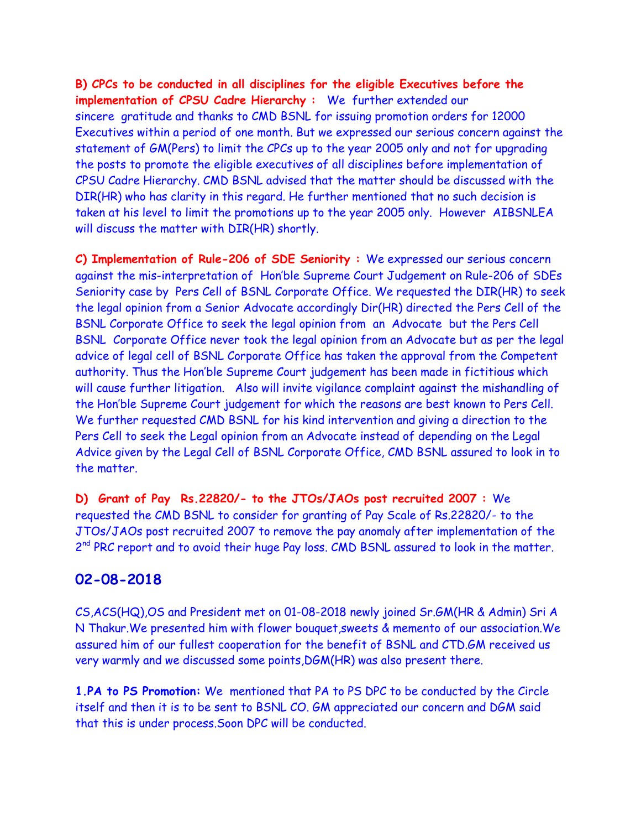**B) CPCs to be conducted in all disciplines for the eligible Executives before the implementation of CPSU Cadre Hierarchy :** We further extended our sincere gratitude and thanks to CMD BSNL for issuing promotion orders for 12000 Executives within a period of one month. But we expressed our serious concern against the statement of GM(Pers) to limit the CPCs up to the year 2005 only and not for upgrading the posts to promote the eligible executives of all disciplines before implementation of CPSU Cadre Hierarchy. CMD BSNL advised that the matter should be discussed with the DIR(HR) who has clarity in this regard. He further mentioned that no such decision is taken at his level to limit the promotions up to the year 2005 only. However AIBSNLEA will discuss the matter with DIR(HR) shortly.

**C) Implementation of Rule-206 of SDE Seniority :** We expressed our serious concern against the mis-interpretation of Hon'ble Supreme Court Judgement on Rule-206 of SDEs Seniority case by Pers Cell of BSNL Corporate Office. We requested the DIR(HR) to seek the legal opinion from a Senior Advocate accordingly Dir(HR) directed the Pers Cell of the BSNL Corporate Office to seek the legal opinion from an Advocate but the Pers Cell BSNL Corporate Office never took the legal opinion from an Advocate but as per the legal advice of legal cell of BSNL Corporate Office has taken the approval from the Competent authority. Thus the Hon'ble Supreme Court judgement has been made in fictitious which will cause further litigation. Also will invite vigilance complaint against the mishandling of the Hon'ble Supreme Court judgement for which the reasons are best known to Pers Cell. We further requested CMD BSNL for his kind intervention and giving a direction to the Pers Cell to seek the Legal opinion from an Advocate instead of depending on the Legal Advice given by the Legal Cell of BSNL Corporate Office, CMD BSNL assured to look in to the matter.

**D) Grant of Pay Rs.22820/- to the JTOs/JAOs post recruited 2007 :** We requested the CMD BSNL to consider for granting of Pay Scale of Rs.22820/- to the JTOs/JAOs post recruited 2007 to remove the pay anomaly after implementation of the 2<sup>nd</sup> PRC report and to avoid their huge Pay loss. CMD BSNL assured to look in the matter.

## **02-08-2018**

CS,ACS(HQ),OS and President met on 01-08-2018 newly joined Sr.GM(HR & Admin) Sri A N Thakur.We presented him with flower bouquet,sweets & memento of our association.We assured him of our fullest cooperation for the benefit of BSNL and CTD.GM received us very warmly and we discussed some points,DGM(HR) was also present there.

**1.PA to PS Promotion:** We mentioned that PA to PS DPC to be conducted by the Circle itself and then it is to be sent to BSNL CO. GM appreciated our concern and DGM said that this is under process.Soon DPC will be conducted.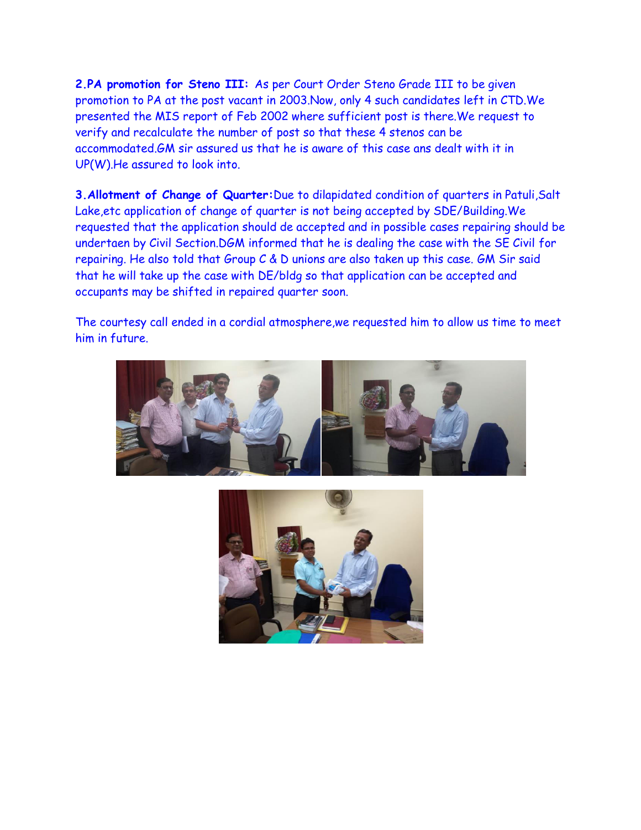**2.PA promotion for Steno III:** As per Court Order Steno Grade III to be given promotion to PA at the post vacant in 2003.Now, only 4 such candidates left in CTD.We presented the MIS report of Feb 2002 where sufficient post is there.We request to verify and recalculate the number of post so that these 4 stenos can be accommodated.GM sir assured us that he is aware of this case ans dealt with it in UP(W).He assured to look into.

**3.Allotment of Change of Quarter:**Due to dilapidated condition of quarters in Patuli,Salt Lake,etc application of change of quarter is not being accepted by SDE/Building.We requested that the application should de accepted and in possible cases repairing should be undertaen by Civil Section.DGM informed that he is dealing the case with the SE Civil for repairing. He also told that Group C & D unions are also taken up this case. GM Sir said that he will take up the case with DE/bldg so that application can be accepted and occupants may be shifted in repaired quarter soon.

The courtesy call ended in a cordial atmosphere,we requested him to allow us time to meet him in future.



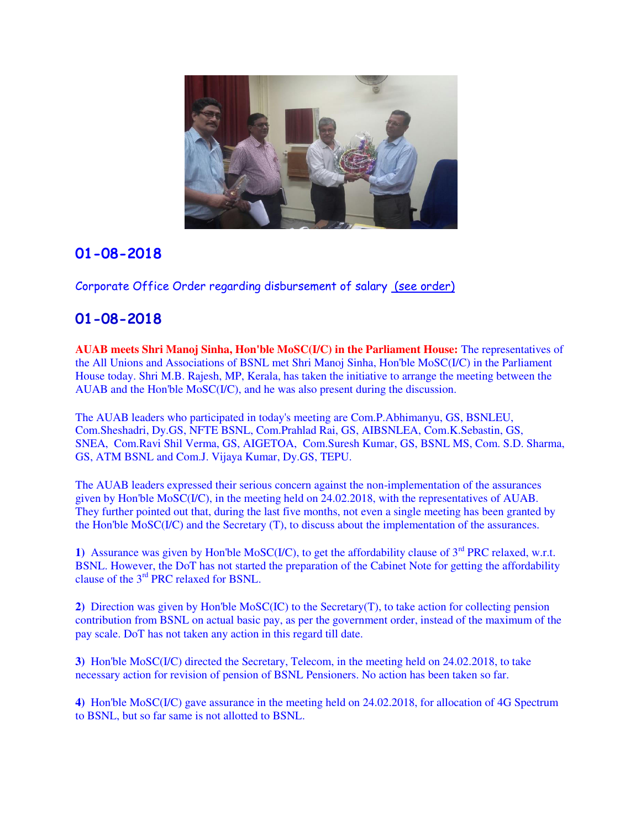

Corporate Office Order regarding disbursement of salary [\(see order\)](http://aibsnleawb.org/salary.pdf)

# **01-08-2018**

**AUAB meets Shri Manoj Sinha, Hon'ble MoSC(I/C) in the Parliament House:** The representatives of the All Unions and Associations of BSNL met Shri Manoj Sinha, Hon'ble MoSC(I/C) in the Parliament House today. Shri M.B. Rajesh, MP, Kerala, has taken the initiative to arrange the meeting between the AUAB and the Hon'ble MoSC(I/C), and he was also present during the discussion.

The AUAB leaders who participated in today's meeting are Com.P.Abhimanyu, GS, BSNLEU, Com.Sheshadri, Dy.GS, NFTE BSNL, Com.Prahlad Rai, GS, AIBSNLEA, Com.K.Sebastin, GS, SNEA, Com.Ravi Shil Verma, GS, AIGETOA, Com.Suresh Kumar, GS, BSNL MS, Com. S.D. Sharma, GS, ATM BSNL and Com.J. Vijaya Kumar, Dy.GS, TEPU.

The AUAB leaders expressed their serious concern against the non-implementation of the assurances given by Hon'ble MoSC(I/C), in the meeting held on 24.02.2018, with the representatives of AUAB. They further pointed out that, during the last five months, not even a single meeting has been granted by the Hon'ble MoSC(I/C) and the Secretary (T), to discuss about the implementation of the assurances.

1) Assurance was given by Hon'ble MoSC(I/C), to get the affordability clause of  $3<sup>rd</sup> PRC$  relaxed, w.r.t. BSNL. However, the DoT has not started the preparation of the Cabinet Note for getting the affordability clause of the 3rd PRC relaxed for BSNL.

**2)** Direction was given by Hon'ble MoSC(IC) to the Secretary(T), to take action for collecting pension contribution from BSNL on actual basic pay, as per the government order, instead of the maximum of the pay scale. DoT has not taken any action in this regard till date.

**3)** Hon'ble MoSC(I/C) directed the Secretary, Telecom, in the meeting held on 24.02.2018, to take necessary action for revision of pension of BSNL Pensioners. No action has been taken so far.

**4)** Hon'ble MoSC(I/C) gave assurance in the meeting held on 24.02.2018, for allocation of 4G Spectrum to BSNL, but so far same is not allotted to BSNL.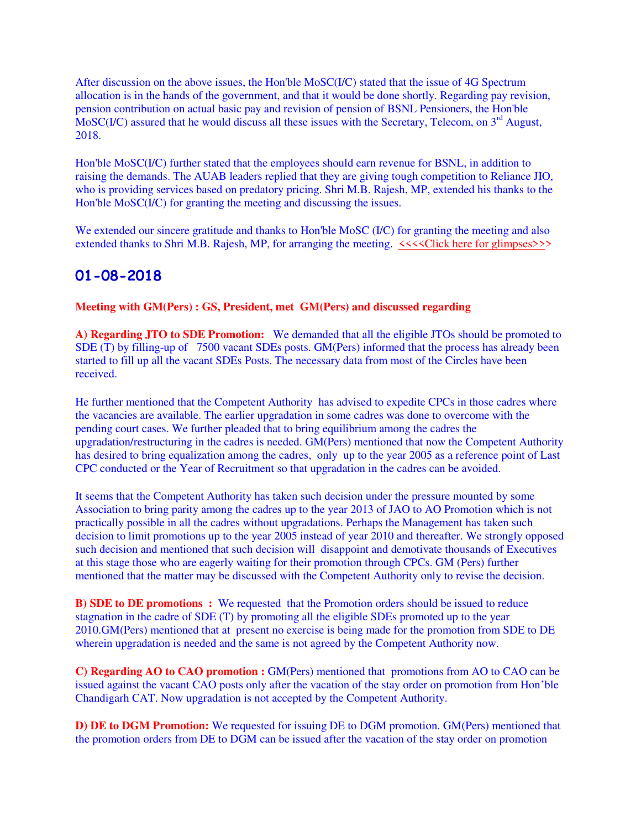After discussion on the above issues, the Hon'ble MoSC(I/C) stated that the issue of 4G Spectrum allocation is in the hands of the government, and that it would be done shortly. Regarding pay revision, pension contribution on actual basic pay and revision of pension of BSNL Pensioners, the Hon'ble MoSC(I/C) assured that he would discuss all these issues with the Secretary, Telecom, on 3<sup>rd</sup> August, 2018.

Hon'ble MoSC(I/C) further stated that the employees should earn revenue for BSNL, in addition to raising the demands. The AUAB leaders replied that they are giving tough competition to Reliance JIO, who is providing services based on predatory pricing. Shri M.B. Rajesh, MP, extended his thanks to the Hon'ble MoSC(I/C) for granting the meeting and discussing the issues.

We extended our sincere gratitude and thanks to Hon'ble MoSC (I/C) for granting the meeting and also extended thanks to Shri M.B. Rajesh, MP, for arranging the meeting.  $\langle \langle \langle \rangle \rangle$ Click here for glimpses>>>

# **01-08-2018**

**Meeting with GM(Pers) : GS, President, met GM(Pers) and discussed regarding**

**A) Regarding JTO to SDE Promotion:** We demanded that all the eligible JTOs should be promoted to SDE (T) by filling-up of 7500 vacant SDEs posts. GM(Pers) informed that the process has already been started to fill up all the vacant SDEs Posts. The necessary data from most of the Circles have been received.

He further mentioned that the Competent Authority has advised to expedite CPCs in those cadres where the vacancies are available. The earlier upgradation in some cadres was done to overcome with the pending court cases. We further pleaded that to bring equilibrium among the cadres the upgradation/restructuring in the cadres is needed. GM(Pers) mentioned that now the Competent Authority has desired to bring equalization among the cadres, only up to the year 2005 as a reference point of Last CPC conducted or the Year of Recruitment so that upgradation in the cadres can be avoided.

It seems that the Competent Authority has taken such decision under the pressure mounted by some Association to bring parity among the cadres up to the year 2013 of JAO to AO Promotion which is not practically possible in all the cadres without upgradations. Perhaps the Management has taken such decision to limit promotions up to the year 2005 instead of year 2010 and thereafter. We strongly opposed such decision and mentioned that such decision will disappoint and demotivate thousands of Executives at this stage those who are eagerly waiting for their promotion through CPCs. GM (Pers) further mentioned that the matter may be discussed with the Competent Authority only to revise the decision.

**B) SDE to DE promotions :** We requested that the Promotion orders should be issued to reduce stagnation in the cadre of SDE (T) by promoting all the eligible SDEs promoted up to the year 2010.GM(Pers) mentioned that at present no exercise is being made for the promotion from SDE to DE wherein upgradation is needed and the same is not agreed by the Competent Authority now.

**C) Regarding AO to CAO promotion :** GM(Pers) mentioned that promotions from AO to CAO can be issued against the vacant CAO posts only after the vacation of the stay order on promotion from Hon'ble Chandigarh CAT. Now upgradation is not accepted by the Competent Authority.

**D) DE to DGM Promotion:** We requested for issuing DE to DGM promotion. GM(Pers) mentioned that the promotion orders from DE to DGM can be issued after the vacation of the stay order on promotion